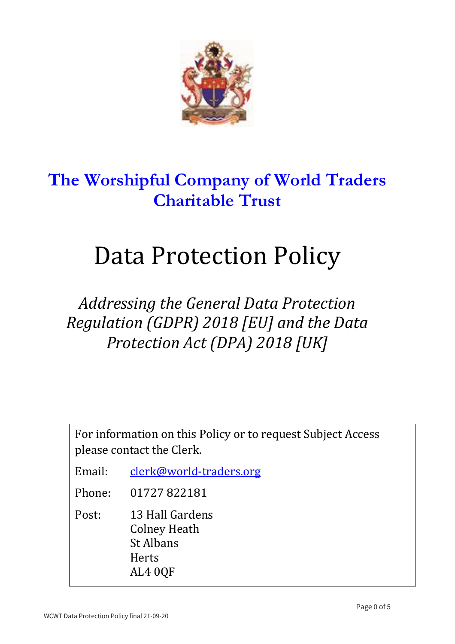

# **The Worshipful Company of World Traders Charitable Trust**

# Data Protection Policy

# Addressing the General Data Protection *Regulation (GDPR)* 2018 [EU] and the Data *Protection Act (DPA) 2018 [UK]*

For information on this Policy or to request Subject Access please contact the Clerk.

- Email: clerk@world-traders.org
- Phone: 01727 822181
- Post: 13 Hall Gardens **Colney Heath** St Albans Herts AL4 0QF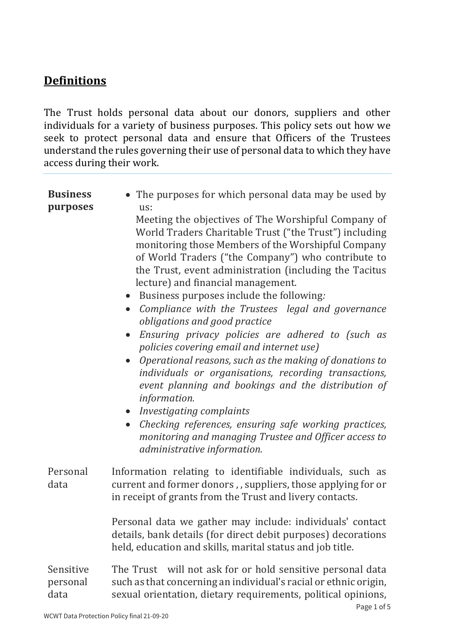# **Definitions**

The Trust holds personal data about our donors, suppliers and other individuals for a variety of business purposes. This policy sets out how we seek to protect personal data and ensure that Officers of the Trustees understand the rules governing their use of personal data to which they have access during their work.

| <b>Business</b><br>purposes   | • The purposes for which personal data may be used by<br>us:<br>Meeting the objectives of The Worshipful Company of<br>World Traders Charitable Trust ("the Trust") including<br>monitoring those Members of the Worshipful Company<br>of World Traders ("the Company") who contribute to<br>the Trust, event administration (including the Tacitus<br>lecture) and financial management.<br>• Business purposes include the following:<br>Compliance with the Trustees legal and governance<br>$\bullet$<br>obligations and good practice<br>Ensuring privacy policies are adhered to (such as<br>policies covering email and internet use)<br>Operational reasons, such as the making of donations to<br>individuals or organisations, recording transactions,<br>event planning and bookings and the distribution of<br>information.<br>• Investigating complaints<br>Checking references, ensuring safe working practices,<br>$\bullet$<br>monitoring and managing Trustee and Officer access to<br>administrative information. |
|-------------------------------|-------------------------------------------------------------------------------------------------------------------------------------------------------------------------------------------------------------------------------------------------------------------------------------------------------------------------------------------------------------------------------------------------------------------------------------------------------------------------------------------------------------------------------------------------------------------------------------------------------------------------------------------------------------------------------------------------------------------------------------------------------------------------------------------------------------------------------------------------------------------------------------------------------------------------------------------------------------------------------------------------------------------------------------|
| Personal<br>data              | Information relating to identifiable individuals, such as<br>current and former donors,, suppliers, those applying for or<br>in receipt of grants from the Trust and livery contacts.                                                                                                                                                                                                                                                                                                                                                                                                                                                                                                                                                                                                                                                                                                                                                                                                                                               |
|                               | Personal data we gather may include: individuals' contact<br>details, bank details (for direct debit purposes) decorations<br>held, education and skills, marital status and job title.                                                                                                                                                                                                                                                                                                                                                                                                                                                                                                                                                                                                                                                                                                                                                                                                                                             |
| Sensitive<br>personal<br>data | The Trust will not ask for or hold sensitive personal data<br>such as that concerning an individual's racial or ethnic origin,<br>sexual orientation, dietary requirements, political opinions,                                                                                                                                                                                                                                                                                                                                                                                                                                                                                                                                                                                                                                                                                                                                                                                                                                     |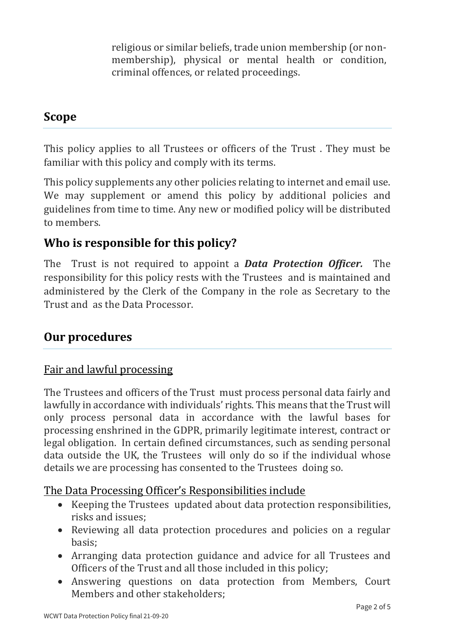religious or similar beliefs, trade union membership (or nonmembership), physical or mental health or condition, criminal offences, or related proceedings.

### **Scope**

This policy applies to all Trustees or officers of the Trust. They must be familiar with this policy and comply with its terms.

This policy supplements any other policies relating to internet and email use. We may supplement or amend this policy by additional policies and guidelines from time to time. Any new or modified policy will be distributed to members.

## **Who is responsible for this policy?**

The Trust is not required to appoint a **Data Protection Officer.** The responsibility for this policy rests with the Trustees and is maintained and administered by the Clerk of the Company in the role as Secretary to the Trust and as the Data Processor.

## **Our procedures**

#### Fair and lawful processing

The Trustees and officers of the Trust must process personal data fairly and lawfully in accordance with individuals' rights. This means that the Trust will only process personal data in accordance with the lawful bases for processing enshrined in the GDPR, primarily legitimate interest, contract or legal obligation. In certain defined circumstances, such as sending personal data outside the UK, the Trustees will only do so if the individual whose details we are processing has consented to the Trustees doing so.

#### The Data Processing Officer's Responsibilities include

- Keeping the Trustees updated about data protection responsibilities, risks and issues:
- Reviewing all data protection procedures and policies on a regular basis;
- Arranging data protection guidance and advice for all Trustees and Officers of the Trust and all those included in this policy;
- Answering questions on data protection from Members, Court Members and other stakeholders: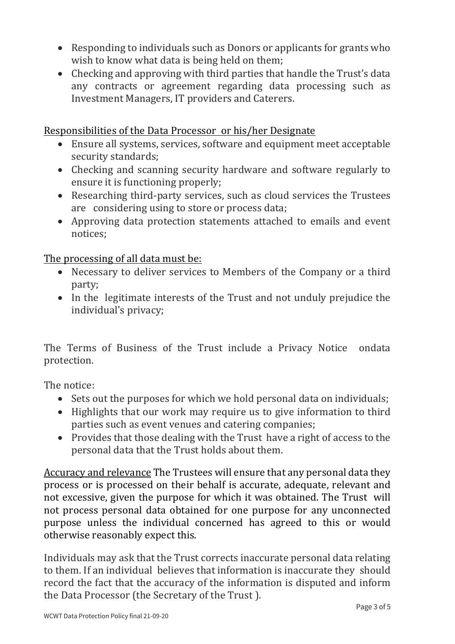- Responding to individuals such as Donors or applicants for grants who wish to know what data is being held on them;
- Checking and approving with third parties that handle the Trust's data any contracts or agreement regarding data processing such as Investment Managers, IT providers and Caterers.

#### Responsibilities of the Data Processor or his/her Designate

- Ensure all systems, services, software and equipment meet acceptable security standards;
- Checking and scanning security hardware and software regularly to ensure it is functioning properly;
- Researching third-party services, such as cloud services the Trustees are considering using to store or process data;
- Approving data protection statements attached to emails and event notices;

The processing of all data must be:

- Necessary to deliver services to Members of the Company or a third party;
- In the legitimate interests of the Trust and not unduly prejudice the individual's privacy;

The Terms of Business of the Trust include a Privacy Notice ondata protection. 

The notice:

- Sets out the purposes for which we hold personal data on individuals:
- Highlights that our work may require us to give information to third parties such as event venues and catering companies;
- Provides that those dealing with the Trust have a right of access to the personal data that the Trust holds about them.

Accuracy and relevance The Trustees will ensure that any personal data they process or is processed on their behalf is accurate, adequate, relevant and not excessive, given the purpose for which it was obtained. The Trust will not process personal data obtained for one purpose for any unconnected purpose unless the individual concerned has agreed to this or would otherwise reasonably expect this.

Individuals may ask that the Trust corrects inaccurate personal data relating to them. If an individual believes that information is inaccurate they should record the fact that the accuracy of the information is disputed and inform the Data Processor (the Secretary of the Trust).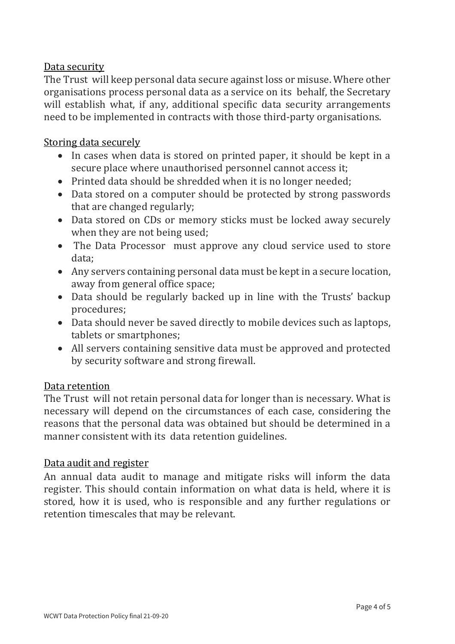#### Data security

The Trust will keep personal data secure against loss or misuse. Where other organisations process personal data as a service on its behalf, the Secretary will establish what, if any, additional specific data security arrangements need to be implemented in contracts with those third-party organisations.

#### Storing data securely

- In cases when data is stored on printed paper, it should be kept in a secure place where unauthorised personnel cannot access it;
- Printed data should be shredded when it is no longer needed;
- Data stored on a computer should be protected by strong passwords that are changed regularly;
- Data stored on CDs or memory sticks must be locked away securely when they are not being used;
- The Data Processor must approve any cloud service used to store data;
- Any servers containing personal data must be kept in a secure location, away from general office space;
- Data should be regularly backed up in line with the Trusts' backup procedures;
- Data should never be saved directly to mobile devices such as laptops, tablets or smartphones;
- All servers containing sensitive data must be approved and protected by security software and strong firewall.

#### Data retention

The Trust will not retain personal data for longer than is necessary. What is necessary will depend on the circumstances of each case, considering the reasons that the personal data was obtained but should be determined in a manner consistent with its data retention guidelines.

#### Data audit and register

An annual data audit to manage and mitigate risks will inform the data register. This should contain information on what data is held, where it is stored, how it is used, who is responsible and any further regulations or retention timescales that may be relevant.